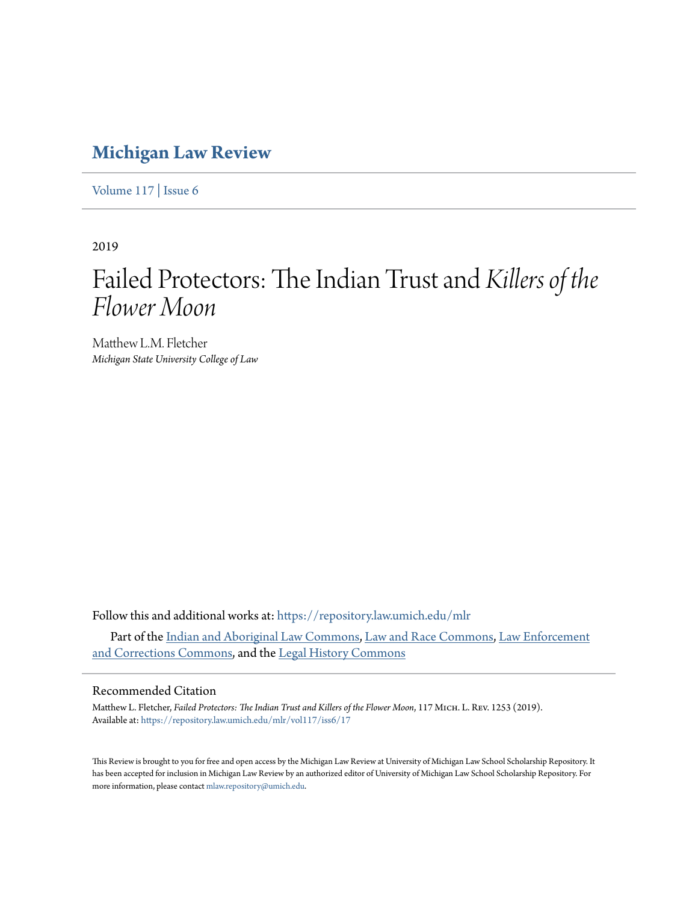# **[Michigan Law Review](https://repository.law.umich.edu/mlr?utm_source=repository.law.umich.edu%2Fmlr%2Fvol117%2Fiss6%2F17&utm_medium=PDF&utm_campaign=PDFCoverPages)**

[Volume 117](https://repository.law.umich.edu/mlr/vol117?utm_source=repository.law.umich.edu%2Fmlr%2Fvol117%2Fiss6%2F17&utm_medium=PDF&utm_campaign=PDFCoverPages) | [Issue 6](https://repository.law.umich.edu/mlr/vol117/iss6?utm_source=repository.law.umich.edu%2Fmlr%2Fvol117%2Fiss6%2F17&utm_medium=PDF&utm_campaign=PDFCoverPages)

2019

# Failed Protectors: The Indian Trust and *Killers of the Flower Moon*

Matthew L.M. Fletcher *Michigan State University College of Law*

Follow this and additional works at: [https://repository.law.umich.edu/mlr](https://repository.law.umich.edu/mlr?utm_source=repository.law.umich.edu%2Fmlr%2Fvol117%2Fiss6%2F17&utm_medium=PDF&utm_campaign=PDFCoverPages) Part of the [Indian and Aboriginal Law Commons](http://network.bepress.com/hgg/discipline/894?utm_source=repository.law.umich.edu%2Fmlr%2Fvol117%2Fiss6%2F17&utm_medium=PDF&utm_campaign=PDFCoverPages), [Law and Race Commons,](http://network.bepress.com/hgg/discipline/1300?utm_source=repository.law.umich.edu%2Fmlr%2Fvol117%2Fiss6%2F17&utm_medium=PDF&utm_campaign=PDFCoverPages) [Law Enforcement](http://network.bepress.com/hgg/discipline/854?utm_source=repository.law.umich.edu%2Fmlr%2Fvol117%2Fiss6%2F17&utm_medium=PDF&utm_campaign=PDFCoverPages) [and Corrections Commons,](http://network.bepress.com/hgg/discipline/854?utm_source=repository.law.umich.edu%2Fmlr%2Fvol117%2Fiss6%2F17&utm_medium=PDF&utm_campaign=PDFCoverPages) and the [Legal History Commons](http://network.bepress.com/hgg/discipline/904?utm_source=repository.law.umich.edu%2Fmlr%2Fvol117%2Fiss6%2F17&utm_medium=PDF&utm_campaign=PDFCoverPages)

## Recommended Citation

Matthew L. Fletcher, *Failed Protectors: The Indian Trust and Killers of the Flower Moon*, 117 Mich. L. Rev. 1253 (2019). Available at: [https://repository.law.umich.edu/mlr/vol117/iss6/17](https://repository.law.umich.edu/mlr/vol117/iss6/17?utm_source=repository.law.umich.edu%2Fmlr%2Fvol117%2Fiss6%2F17&utm_medium=PDF&utm_campaign=PDFCoverPages)

This Review is brought to you for free and open access by the Michigan Law Review at University of Michigan Law School Scholarship Repository. It has been accepted for inclusion in Michigan Law Review by an authorized editor of University of Michigan Law School Scholarship Repository. For more information, please contact [mlaw.repository@umich.edu](mailto:mlaw.repository@umich.edu).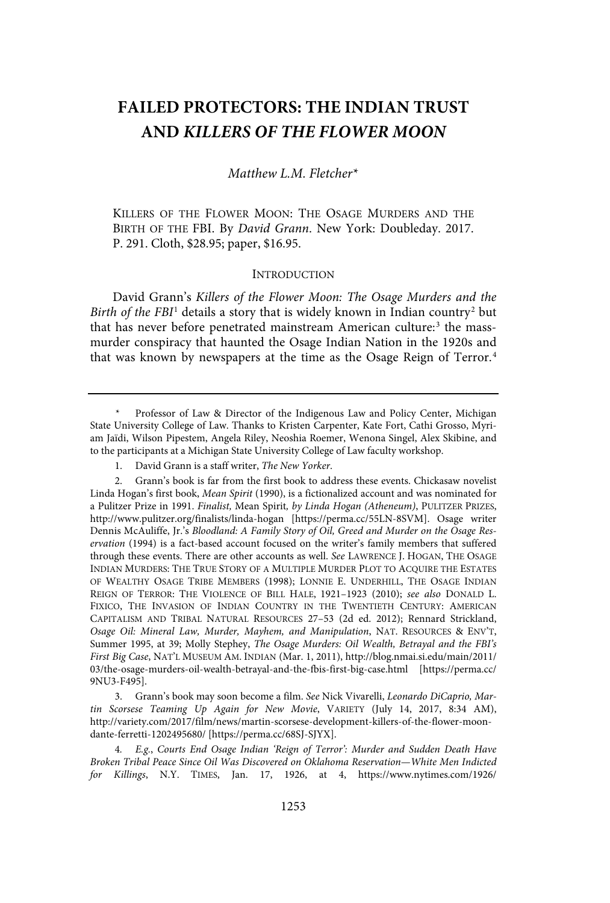## **FAILED PROTECTORS: THE INDIAN TRUST AND KILLERS OF THE FLOWER MOON**

### Matthew L.M. Fletcher\*

KILLERS OF THE FLOWER MOON: THE OSAGE MURDERS AND THE BIRTH OF THE FBI. By David Grann. New York: Doubleday. 2017. P. 291. Cloth, \$28.95; paper, \$16.95.

#### INTRODUCTION

David Grann's Killers of the Flower Moon: The Osage Murders and the Birth of the FBI<sup>1</sup> details a story that is widely known in Indian country<sup>2</sup> but that has never before penetrated mainstream American culture:<sup>3</sup> the massmurder conspiracy that haunted the Osage Indian Nation in the 1920s and that was known by newspapers at the time as the Osage Reign of Terror.<sup>4</sup>

1. David Grann is a staff writer, The New Yorker.

2. Grann's book is far from the first book to address these events. Chickasaw novelist Linda Hogan's first book, Mean Spirit (1990), is a fictionalized account and was nominated for a Pulitzer Prize in 1991. Finalist, Mean Spirit, by Linda Hogan (Atheneum), PULITZER PRIZES, http://www.pulitzer.org/finalists/linda-hogan [https://perma.cc/55LN-8SVM]. Osage writer Dennis McAuliffe, Jr.'s Bloodland: A Family Story of Oil, Greed and Murder on the Osage Reservation (1994) is a fact-based account focused on the writer's family members that suffered through these events. There are other accounts as well. See LAWRENCE J. HOGAN, THE OSAGE INDIAN MURDERS: THE TRUE STORY OF A MULTIPLE MURDER PLOT TO ACQUIRE THE ESTATES OF WEALTHY OSAGE TRIBE MEMBERS (1998); LONNIE E. UNDERHILL, THE OSAGE INDIAN REIGN OF TERROR: THE VIOLENCE OF BILL HALE, 1921–1923 (2010); see also DONALD L. FIXICO, THE INVASION OF INDIAN COUNTRY IN THE TWENTIETH CENTURY: AMERICAN CAPITALISM AND TRIBAL NATURAL RESOURCES 27–53 (2d ed. 2012); Rennard Strickland, Osage Oil: Mineral Law, Murder, Mayhem, and Manipulation, NAT. RESOURCES & ENV'T, Summer 1995, at 39; Molly Stephey, The Osage Murders: Oil Wealth, Betrayal and the FBI's First Big Case, NAT'L MUSEUM AM. INDIAN (Mar. 1, 2011), http://blog.nmai.si.edu/main/2011/ 03/the-osage-murders-oil-wealth-betrayal-and-the-fbis-first-big-case.html [https://perma.cc/ 9NU3-F495].

3. Grann's book may soon become a film. See Nick Vivarelli, Leonardo DiCaprio, Martin Scorsese Teaming Up Again for New Movie, VARIETY (July 14, 2017, 8:34 AM), http://variety.com/2017/film/news/martin-scorsese-development-killers-of-the-flower-moondante-ferretti-1202495680/ [https://perma.cc/68SJ-SJYX].

4. E.g., Courts End Osage Indian 'Reign of Terror': Murder and Sudden Death Have Broken Tribal Peace Since Oil Was Discovered on Oklahoma Reservation—White Men Indicted for Killings, N.Y. TIMES, Jan. 17, 1926, at 4, https://www.nytimes.com/1926/

Professor of Law & Director of the Indigenous Law and Policy Center, Michigan State University College of Law. Thanks to Kristen Carpenter, Kate Fort, Cathi Grosso, Myriam Jaïdi, Wilson Pipestem, Angela Riley, Neoshia Roemer, Wenona Singel, Alex Skibine, and to the participants at a Michigan State University College of Law faculty workshop.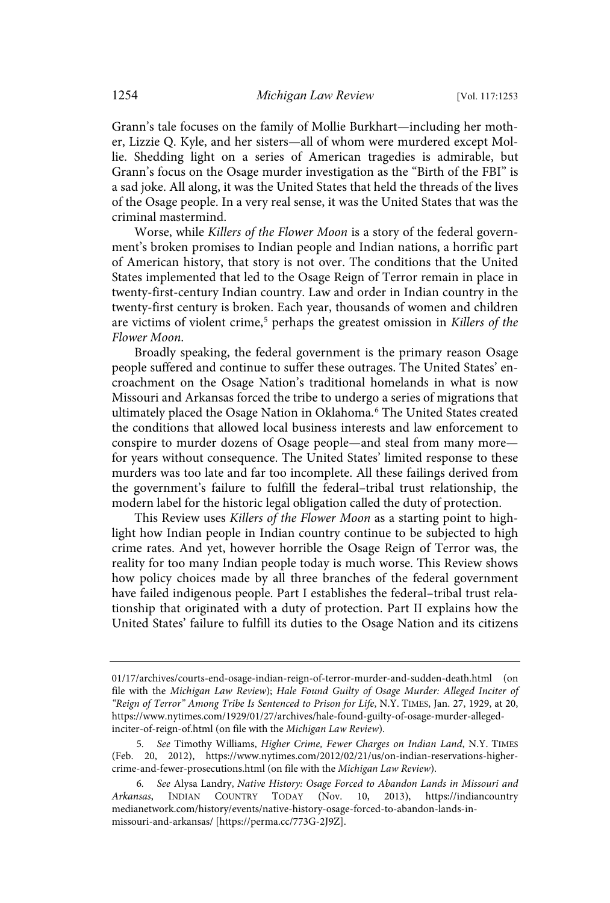Grann's tale focuses on the family of Mollie Burkhart—including her mother, Lizzie Q. Kyle, and her sisters—all of whom were murdered except Mollie. Shedding light on a series of American tragedies is admirable, but Grann's focus on the Osage murder investigation as the "Birth of the FBI" is a sad joke. All along, it was the United States that held the threads of the lives of the Osage people. In a very real sense, it was the United States that was the criminal mastermind.

Worse, while Killers of the Flower Moon is a story of the federal government's broken promises to Indian people and Indian nations, a horrific part of American history, that story is not over. The conditions that the United States implemented that led to the Osage Reign of Terror remain in place in twenty-first-century Indian country. Law and order in Indian country in the twenty-first century is broken. Each year, thousands of women and children are victims of violent crime,<sup>5</sup> perhaps the greatest omission in Killers of the Flower Moon.

Broadly speaking, the federal government is the primary reason Osage people suffered and continue to suffer these outrages. The United States' encroachment on the Osage Nation's traditional homelands in what is now Missouri and Arkansas forced the tribe to undergo a series of migrations that ultimately placed the Osage Nation in Oklahoma.<sup>6</sup> The United States created the conditions that allowed local business interests and law enforcement to conspire to murder dozens of Osage people—and steal from many more for years without consequence. The United States' limited response to these murders was too late and far too incomplete. All these failings derived from the government's failure to fulfill the federal–tribal trust relationship, the modern label for the historic legal obligation called the duty of protection.

This Review uses Killers of the Flower Moon as a starting point to highlight how Indian people in Indian country continue to be subjected to high crime rates. And yet, however horrible the Osage Reign of Terror was, the reality for too many Indian people today is much worse. This Review shows how policy choices made by all three branches of the federal government have failed indigenous people. Part I establishes the federal–tribal trust relationship that originated with a duty of protection. Part II explains how the United States' failure to fulfill its duties to the Osage Nation and its citizens

<sup>01/17/</sup>archives/courts-end-osage-indian-reign-of-terror-murder-and-sudden-death.html (on file with the Michigan Law Review); Hale Found Guilty of Osage Murder: Alleged Inciter of "Reign of Terror" Among Tribe Is Sentenced to Prison for Life, N.Y. TIMES, Jan. 27, 1929, at 20, https://www.nytimes.com/1929/01/27/archives/hale-found-guilty-of-osage-murder-allegedinciter-of-reign-of.html (on file with the Michigan Law Review).

<sup>5.</sup> See Timothy Williams, Higher Crime, Fewer Charges on Indian Land, N.Y. TIMES (Feb. 20, 2012), https://www.nytimes.com/2012/02/21/us/on-indian-reservations-highercrime-and-fewer-prosecutions.html (on file with the Michigan Law Review).

<sup>6</sup> . See Alysa Landry, Native History: Osage Forced to Abandon Lands in Missouri and Arkansas, INDIAN COUNTRY TODAY (Nov. 10, 2013), https://indiancountry medianetwork.com/history/events/native-history-osage-forced-to-abandon-lands-inmissouri-and-arkansas/ [https://perma.cc/773G-2J9Z].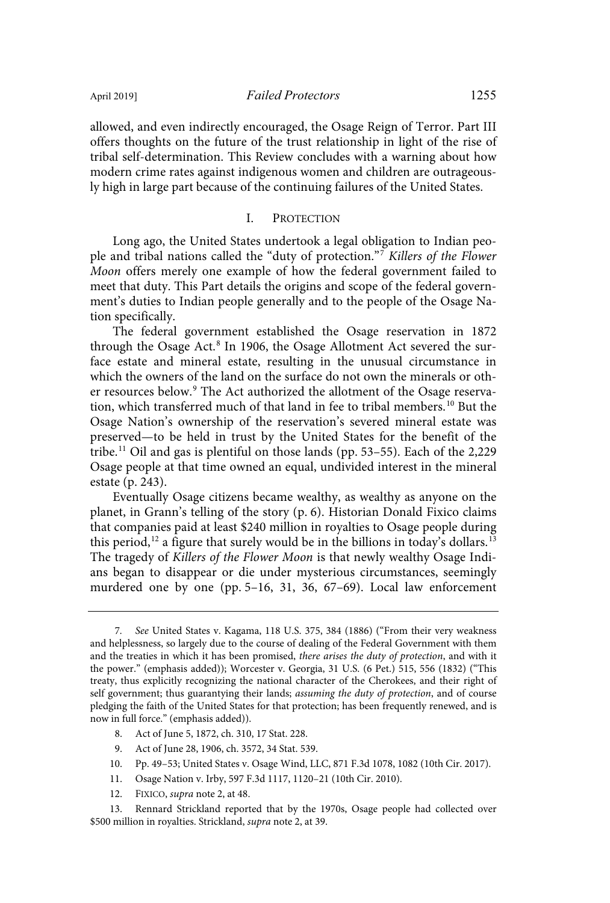allowed, and even indirectly encouraged, the Osage Reign of Terror. Part III offers thoughts on the future of the trust relationship in light of the rise of tribal self-determination. This Review concludes with a warning about how modern crime rates against indigenous women and children are outrageously high in large part because of the continuing failures of the United States.

#### I. PROTECTION

Long ago, the United States undertook a legal obligation to Indian people and tribal nations called the "duty of protection."<sup>7</sup> Killers of the Flower Moon offers merely one example of how the federal government failed to meet that duty. This Part details the origins and scope of the federal government's duties to Indian people generally and to the people of the Osage Nation specifically.

The federal government established the Osage reservation in 1872 through the Osage Act.<sup>8</sup> In 1906, the Osage Allotment Act severed the surface estate and mineral estate, resulting in the unusual circumstance in which the owners of the land on the surface do not own the minerals or other resources below.<sup>9</sup> The Act authorized the allotment of the Osage reservation, which transferred much of that land in fee to tribal members.<sup>10</sup> But the Osage Nation's ownership of the reservation's severed mineral estate was preserved—to be held in trust by the United States for the benefit of the tribe.<sup>11</sup> Oil and gas is plentiful on those lands (pp. 53–55). Each of the  $2,229$ Osage people at that time owned an equal, undivided interest in the mineral estate (p. 243).

Eventually Osage citizens became wealthy, as wealthy as anyone on the planet, in Grann's telling of the story (p. 6). Historian Donald Fixico claims that companies paid at least \$240 million in royalties to Osage people during this period,<sup>12</sup> a figure that surely would be in the billions in today's dollars.<sup>13</sup> The tragedy of Killers of the Flower Moon is that newly wealthy Osage Indians began to disappear or die under mysterious circumstances, seemingly murdered one by one (pp. 5–16, 31, 36, 67–69). Local law enforcement

- 8. Act of June 5, 1872, ch. 310, 17 Stat. 228.
- 9. Act of June 28, 1906, ch. 3572, 34 Stat. 539.
- 10. Pp. 49–53; United States v. Osage Wind, LLC, 871 F.3d 1078, 1082 (10th Cir. 2017).
- 11. Osage Nation v. Irby, 597 F.3d 1117, 1120–21 (10th Cir. 2010).
- 12. FIXICO, supra note 2, at 48.

<sup>7</sup> . See United States v. Kagama, 118 U.S. 375, 384 (1886) ("From their very weakness and helplessness, so largely due to the course of dealing of the Federal Government with them and the treaties in which it has been promised, there arises the duty of protection, and with it the power." (emphasis added)); Worcester v. Georgia, 31 U.S. (6 Pet.) 515, 556 (1832) ("This treaty, thus explicitly recognizing the national character of the Cherokees, and their right of self government; thus guarantying their lands; assuming the duty of protection, and of course pledging the faith of the United States for that protection; has been frequently renewed, and is now in full force." (emphasis added)).

<sup>13.</sup> Rennard Strickland reported that by the 1970s, Osage people had collected over \$500 million in royalties. Strickland, supra note 2, at 39.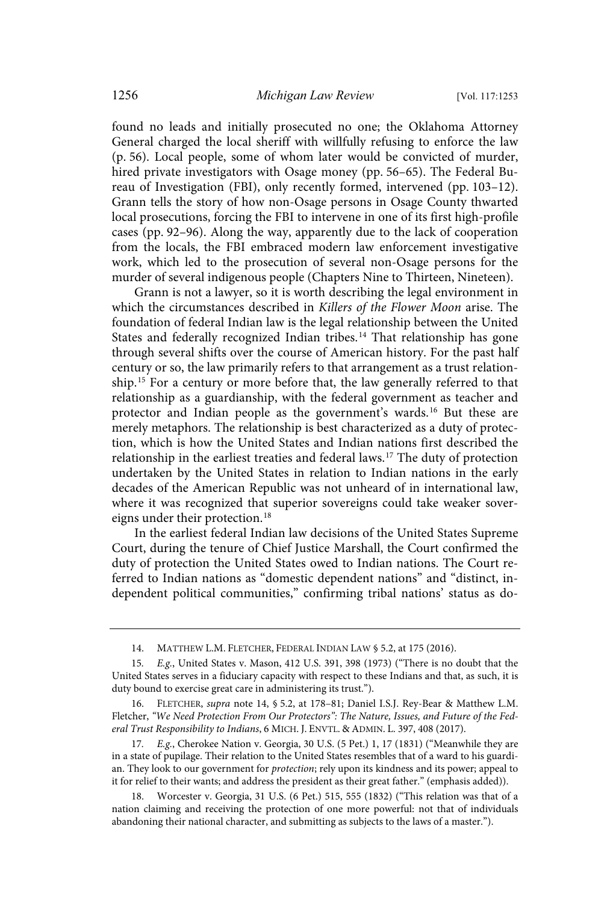found no leads and initially prosecuted no one; the Oklahoma Attorney General charged the local sheriff with willfully refusing to enforce the law (p. 56). Local people, some of whom later would be convicted of murder, hired private investigators with Osage money (pp. 56–65). The Federal Bureau of Investigation (FBI), only recently formed, intervened (pp. 103–12). Grann tells the story of how non-Osage persons in Osage County thwarted local prosecutions, forcing the FBI to intervene in one of its first high-profile cases (pp. 92–96). Along the way, apparently due to the lack of cooperation from the locals, the FBI embraced modern law enforcement investigative work, which led to the prosecution of several non-Osage persons for the murder of several indigenous people (Chapters Nine to Thirteen, Nineteen).

Grann is not a lawyer, so it is worth describing the legal environment in which the circumstances described in Killers of the Flower Moon arise. The foundation of federal Indian law is the legal relationship between the United States and federally recognized Indian tribes.<sup>14</sup> That relationship has gone through several shifts over the course of American history. For the past half century or so, the law primarily refers to that arrangement as a trust relationship.<sup>15</sup> For a century or more before that, the law generally referred to that relationship as a guardianship, with the federal government as teacher and protector and Indian people as the government's wards.<sup>16</sup> But these are merely metaphors. The relationship is best characterized as a duty of protection, which is how the United States and Indian nations first described the relationship in the earliest treaties and federal laws.<sup>17</sup> The duty of protection undertaken by the United States in relation to Indian nations in the early decades of the American Republic was not unheard of in international law, where it was recognized that superior sovereigns could take weaker sovereigns under their protection.<sup>18</sup>

In the earliest federal Indian law decisions of the United States Supreme Court, during the tenure of Chief Justice Marshall, the Court confirmed the duty of protection the United States owed to Indian nations. The Court referred to Indian nations as "domestic dependent nations" and "distinct, independent political communities," confirming tribal nations' status as do-

<sup>14.</sup> MATTHEW L.M. FLETCHER, FEDERAL INDIAN LAW § 5.2, at 175 (2016).

<sup>15.</sup> E.g., United States v. Mason, 412 U.S. 391, 398 (1973) ("There is no doubt that the United States serves in a fiduciary capacity with respect to these Indians and that, as such, it is duty bound to exercise great care in administering its trust.").

<sup>16.</sup> FLETCHER, supra note 14, § 5.2, at 178–81; Daniel I.S.J. Rey-Bear & Matthew L.M. Fletcher, "We Need Protection From Our Protectors": The Nature, Issues, and Future of the Federal Trust Responsibility to Indians, 6 MICH. J. ENVTL. & ADMIN. L. 397, 408 (2017).

<sup>17.</sup> E.g., Cherokee Nation v. Georgia, 30 U.S. (5 Pet.) 1, 17 (1831) ("Meanwhile they are in a state of pupilage. Their relation to the United States resembles that of a ward to his guardian. They look to our government for *protection*; rely upon its kindness and its power; appeal to it for relief to their wants; and address the president as their great father." (emphasis added)).

<sup>18.</sup> Worcester v. Georgia, 31 U.S. (6 Pet.) 515, 555 (1832) ("This relation was that of a nation claiming and receiving the protection of one more powerful: not that of individuals abandoning their national character, and submitting as subjects to the laws of a master.").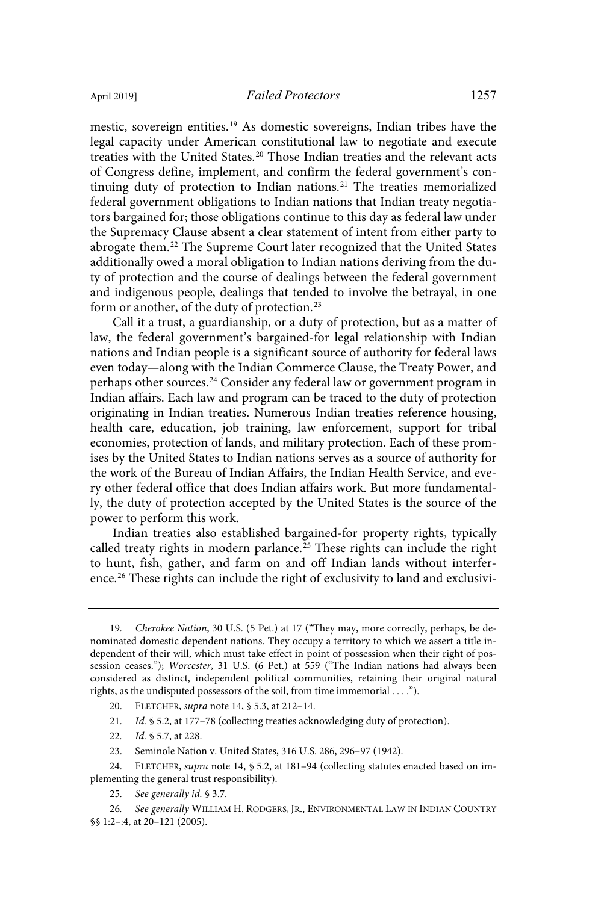mestic, sovereign entities.<sup>19</sup> As domestic sovereigns, Indian tribes have the legal capacity under American constitutional law to negotiate and execute treaties with the United States.<sup>20</sup> Those Indian treaties and the relevant acts of Congress define, implement, and confirm the federal government's continuing duty of protection to Indian nations.<sup>21</sup> The treaties memorialized federal government obligations to Indian nations that Indian treaty negotiators bargained for; those obligations continue to this day as federal law under the Supremacy Clause absent a clear statement of intent from either party to abrogate them.<sup>22</sup> The Supreme Court later recognized that the United States additionally owed a moral obligation to Indian nations deriving from the duty of protection and the course of dealings between the federal government and indigenous people, dealings that tended to involve the betrayal, in one form or another, of the duty of protection.<sup>23</sup>

Call it a trust, a guardianship, or a duty of protection, but as a matter of law, the federal government's bargained-for legal relationship with Indian nations and Indian people is a significant source of authority for federal laws even today—along with the Indian Commerce Clause, the Treaty Power, and perhaps other sources.<sup>24</sup> Consider any federal law or government program in Indian affairs. Each law and program can be traced to the duty of protection originating in Indian treaties. Numerous Indian treaties reference housing, health care, education, job training, law enforcement, support for tribal economies, protection of lands, and military protection. Each of these promises by the United States to Indian nations serves as a source of authority for the work of the Bureau of Indian Affairs, the Indian Health Service, and every other federal office that does Indian affairs work. But more fundamentally, the duty of protection accepted by the United States is the source of the power to perform this work.

Indian treaties also established bargained-for property rights, typically called treaty rights in modern parlance.<sup>25</sup> These rights can include the right to hunt, fish, gather, and farm on and off Indian lands without interference.<sup>26</sup> These rights can include the right of exclusivity to land and exclusivi-

- 21. Id. § 5.2, at 177-78 (collecting treaties acknowledging duty of protection).
- 22. *Id.* § 5.7, at 228.

<sup>19</sup> . Cherokee Nation, 30 U.S. (5 Pet.) at 17 ("They may, more correctly, perhaps, be denominated domestic dependent nations. They occupy a territory to which we assert a title independent of their will, which must take effect in point of possession when their right of possession ceases."); Worcester, 31 U.S. (6 Pet.) at 559 ("The Indian nations had always been considered as distinct, independent political communities, retaining their original natural rights, as the undisputed possessors of the soil, from time immemorial . . . .").

<sup>20.</sup> FLETCHER, supra note 14, § 5.3, at 212–14.

<sup>23.</sup> Seminole Nation v. United States, 316 U.S. 286, 296–97 (1942).

<sup>24.</sup> FLETCHER, supra note 14, § 5.2, at 181-94 (collecting statutes enacted based on implementing the general trust responsibility).

<sup>25.</sup> See generally id. § 3.7.

<sup>26.</sup> See generally WILLIAM H. RODGERS, JR., ENVIRONMENTAL LAW IN INDIAN COUNTRY §§ 1:2–:4, at 20–121 (2005).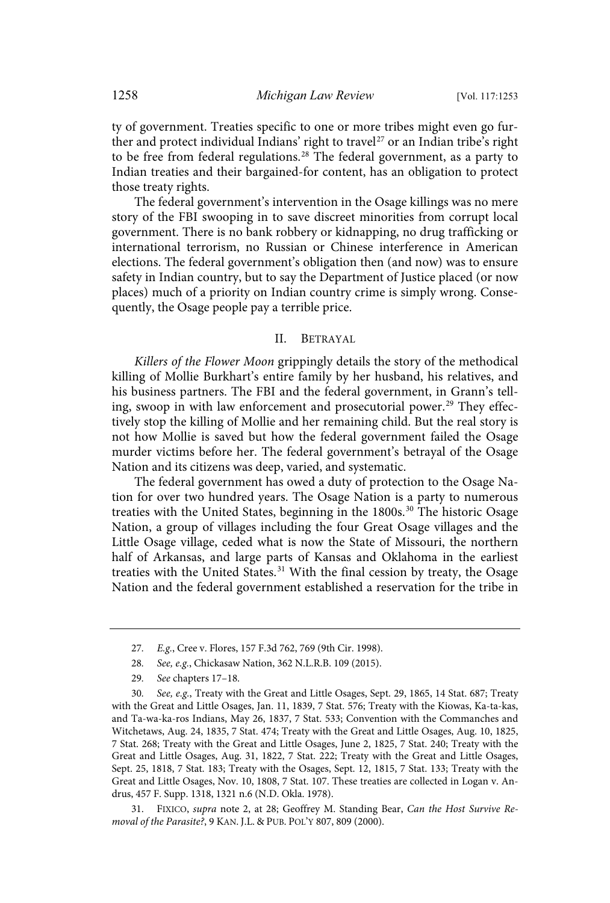ty of government. Treaties specific to one or more tribes might even go further and protect individual Indians' right to travel<sup>27</sup> or an Indian tribe's right to be free from federal regulations.<sup>28</sup> The federal government, as a party to Indian treaties and their bargained-for content, has an obligation to protect those treaty rights.

The federal government's intervention in the Osage killings was no mere story of the FBI swooping in to save discreet minorities from corrupt local government. There is no bank robbery or kidnapping, no drug trafficking or international terrorism, no Russian or Chinese interference in American elections. The federal government's obligation then (and now) was to ensure safety in Indian country, but to say the Department of Justice placed (or now places) much of a priority on Indian country crime is simply wrong. Consequently, the Osage people pay a terrible price.

#### II. BETRAYAL

Killers of the Flower Moon grippingly details the story of the methodical killing of Mollie Burkhart's entire family by her husband, his relatives, and his business partners. The FBI and the federal government, in Grann's telling, swoop in with law enforcement and prosecutorial power.<sup>29</sup> They effectively stop the killing of Mollie and her remaining child. But the real story is not how Mollie is saved but how the federal government failed the Osage murder victims before her. The federal government's betrayal of the Osage Nation and its citizens was deep, varied, and systematic.

The federal government has owed a duty of protection to the Osage Nation for over two hundred years. The Osage Nation is a party to numerous treaties with the United States, beginning in the 1800s.<sup>30</sup> The historic Osage Nation, a group of villages including the four Great Osage villages and the Little Osage village, ceded what is now the State of Missouri, the northern half of Arkansas, and large parts of Kansas and Oklahoma in the earliest treaties with the United States.<sup>31</sup> With the final cession by treaty, the Osage Nation and the federal government established a reservation for the tribe in

31. FIXICO, supra note 2, at 28; Geoffrey M. Standing Bear, Can the Host Survive Removal of the Parasite?, 9 KAN. J.L. & PUB. POL'Y 807, 809 (2000).

<sup>27.</sup> E.g., Cree v. Flores, 157 F.3d 762, 769 (9th Cir. 1998).

<sup>28.</sup> See, e.g., Chickasaw Nation, 362 N.L.R.B. 109 (2015).

<sup>29.</sup> See chapters 17-18.

<sup>30.</sup> See, e.g., Treaty with the Great and Little Osages, Sept. 29, 1865, 14 Stat. 687; Treaty with the Great and Little Osages, Jan. 11, 1839, 7 Stat. 576; Treaty with the Kiowas, Ka-ta-kas, and Ta-wa-ka-ros Indians, May 26, 1837, 7 Stat. 533; Convention with the Commanches and Witchetaws, Aug. 24, 1835, 7 Stat. 474; Treaty with the Great and Little Osages, Aug. 10, 1825, 7 Stat. 268; Treaty with the Great and Little Osages, June 2, 1825, 7 Stat. 240; Treaty with the Great and Little Osages, Aug. 31, 1822, 7 Stat. 222; Treaty with the Great and Little Osages, Sept. 25, 1818, 7 Stat. 183; Treaty with the Osages, Sept. 12, 1815, 7 Stat. 133; Treaty with the Great and Little Osages, Nov. 10, 1808, 7 Stat. 107. These treaties are collected in Logan v. Andrus, 457 F. Supp. 1318, 1321 n.6 (N.D. Okla. 1978).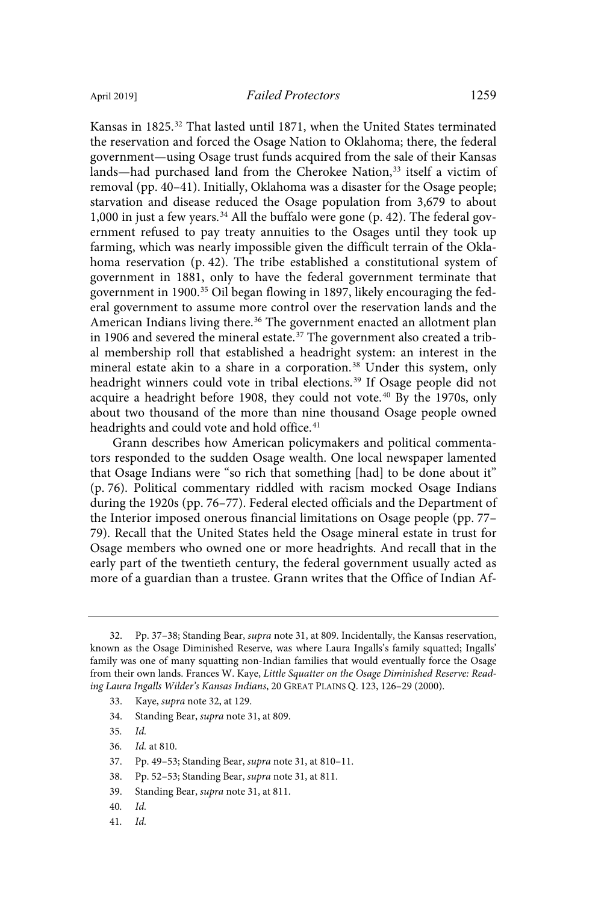Kansas in 1825.<sup>32</sup> That lasted until 1871, when the United States terminated the reservation and forced the Osage Nation to Oklahoma; there, the federal government—using Osage trust funds acquired from the sale of their Kansas lands—had purchased land from the Cherokee Nation,<sup>33</sup> itself a victim of removal (pp. 40–41). Initially, Oklahoma was a disaster for the Osage people; starvation and disease reduced the Osage population from 3,679 to about 1,000 in just a few years.<sup>34</sup> All the buffalo were gone (p. 42). The federal government refused to pay treaty annuities to the Osages until they took up farming, which was nearly impossible given the difficult terrain of the Oklahoma reservation (p. 42). The tribe established a constitutional system of government in 1881, only to have the federal government terminate that government in 1900.<sup>35</sup> Oil began flowing in 1897, likely encouraging the federal government to assume more control over the reservation lands and the American Indians living there.<sup>36</sup> The government enacted an allotment plan in 1906 and severed the mineral estate.<sup>37</sup> The government also created a tribal membership roll that established a headright system: an interest in the mineral estate akin to a share in a corporation.<sup>38</sup> Under this system, only headright winners could vote in tribal elections.<sup>39</sup> If Osage people did not acquire a headright before 1908, they could not vote.<sup>40</sup> By the 1970s, only about two thousand of the more than nine thousand Osage people owned headrights and could vote and hold office.<sup>41</sup>

Grann describes how American policymakers and political commentators responded to the sudden Osage wealth. One local newspaper lamented that Osage Indians were "so rich that something [had] to be done about it" (p. 76). Political commentary riddled with racism mocked Osage Indians during the 1920s (pp. 76–77). Federal elected officials and the Department of the Interior imposed onerous financial limitations on Osage people (pp. 77– 79). Recall that the United States held the Osage mineral estate in trust for Osage members who owned one or more headrights. And recall that in the early part of the twentieth century, the federal government usually acted as more of a guardian than a trustee. Grann writes that the Office of Indian Af-

- 33. Kaye, supra note 32, at 129.
- 34. Standing Bear, supra note 31, at 809.
- 35. Id.
- 36. *Id.* at 810.
- 37. Pp. 49–53; Standing Bear, supra note 31, at 810–11.
- 38. Pp. 52–53; Standing Bear, supra note 31, at 811.
- 39. Standing Bear, supra note 31, at 811.
- $40.$   $Id.$
- $41.$  Id.

<sup>32.</sup> Pp. 37–38; Standing Bear, supra note 31, at 809. Incidentally, the Kansas reservation, known as the Osage Diminished Reserve, was where Laura Ingalls's family squatted; Ingalls' family was one of many squatting non-Indian families that would eventually force the Osage from their own lands. Frances W. Kaye, Little Squatter on the Osage Diminished Reserve: Reading Laura Ingalls Wilder's Kansas Indians, 20 GREAT PLAINS Q. 123, 126–29 (2000).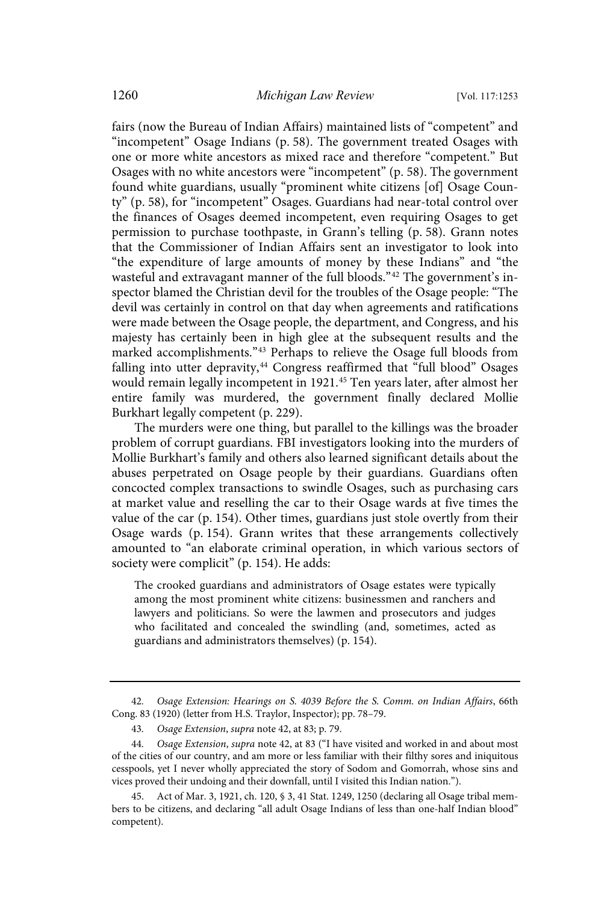fairs (now the Bureau of Indian Affairs) maintained lists of "competent" and "incompetent" Osage Indians (p. 58). The government treated Osages with one or more white ancestors as mixed race and therefore "competent." But Osages with no white ancestors were "incompetent" (p. 58). The government found white guardians, usually "prominent white citizens [of] Osage County" (p. 58), for "incompetent" Osages. Guardians had near-total control over the finances of Osages deemed incompetent, even requiring Osages to get permission to purchase toothpaste, in Grann's telling (p. 58). Grann notes that the Commissioner of Indian Affairs sent an investigator to look into "the expenditure of large amounts of money by these Indians" and "the wasteful and extravagant manner of the full bloods."<sup>42</sup> The government's inspector blamed the Christian devil for the troubles of the Osage people: "The devil was certainly in control on that day when agreements and ratifications were made between the Osage people, the department, and Congress, and his majesty has certainly been in high glee at the subsequent results and the marked accomplishments."<sup>43</sup> Perhaps to relieve the Osage full bloods from falling into utter depravity, $44$  Congress reaffirmed that "full blood" Osages would remain legally incompetent in 1921.<sup>45</sup> Ten years later, after almost her entire family was murdered, the government finally declared Mollie Burkhart legally competent (p. 229).

The murders were one thing, but parallel to the killings was the broader problem of corrupt guardians. FBI investigators looking into the murders of Mollie Burkhart's family and others also learned significant details about the abuses perpetrated on Osage people by their guardians. Guardians often concocted complex transactions to swindle Osages, such as purchasing cars at market value and reselling the car to their Osage wards at five times the value of the car (p. 154). Other times, guardians just stole overtly from their Osage wards (p. 154). Grann writes that these arrangements collectively amounted to "an elaborate criminal operation, in which various sectors of society were complicit" (p. 154). He adds:

The crooked guardians and administrators of Osage estates were typically among the most prominent white citizens: businessmen and ranchers and lawyers and politicians. So were the lawmen and prosecutors and judges who facilitated and concealed the swindling (and, sometimes, acted as guardians and administrators themselves) (p. 154).

<sup>42.</sup> Osage Extension: Hearings on S. 4039 Before the S. Comm. on Indian Affairs, 66th Cong. 83 (1920) (letter from H.S. Traylor, Inspector); pp. 78–79.

<sup>43.</sup> Osage Extension, supra note 42, at 83; p. 79.

<sup>44</sup> . Osage Extension, supra note 42, at 83 ("I have visited and worked in and about most of the cities of our country, and am more or less familiar with their filthy sores and iniquitous cesspools, yet I never wholly appreciated the story of Sodom and Gomorrah, whose sins and vices proved their undoing and their downfall, until I visited this Indian nation.").

<sup>45.</sup> Act of Mar. 3, 1921, ch. 120, § 3, 41 Stat. 1249, 1250 (declaring all Osage tribal members to be citizens, and declaring "all adult Osage Indians of less than one-half Indian blood" competent).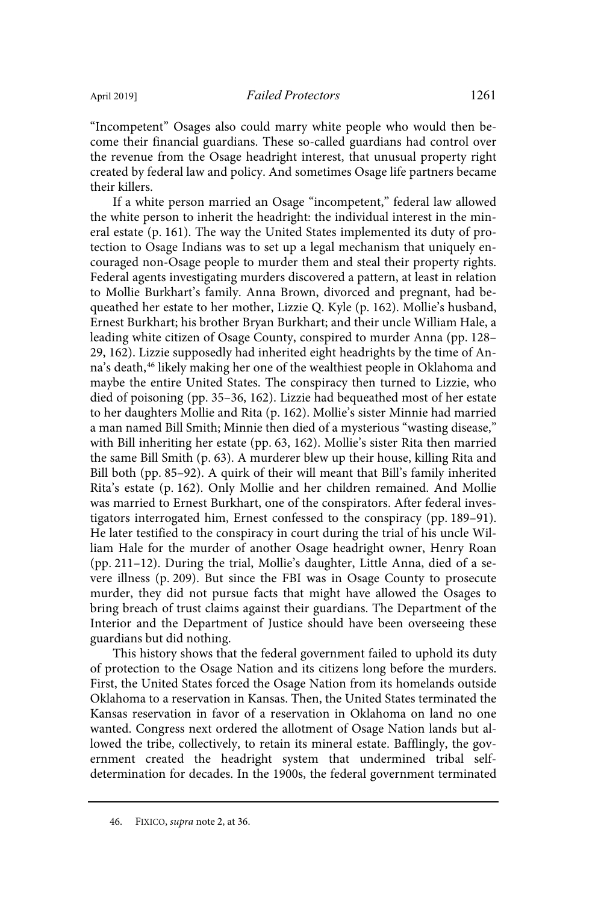"Incompetent" Osages also could marry white people who would then become their financial guardians. These so-called guardians had control over the revenue from the Osage headright interest, that unusual property right created by federal law and policy. And sometimes Osage life partners became their killers.

If a white person married an Osage "incompetent," federal law allowed the white person to inherit the headright: the individual interest in the mineral estate (p. 161). The way the United States implemented its duty of protection to Osage Indians was to set up a legal mechanism that uniquely encouraged non-Osage people to murder them and steal their property rights. Federal agents investigating murders discovered a pattern, at least in relation to Mollie Burkhart's family. Anna Brown, divorced and pregnant, had bequeathed her estate to her mother, Lizzie Q. Kyle (p. 162). Mollie's husband, Ernest Burkhart; his brother Bryan Burkhart; and their uncle William Hale, a leading white citizen of Osage County, conspired to murder Anna (pp. 128– 29, 162). Lizzie supposedly had inherited eight headrights by the time of Anna's death,<sup>46</sup> likely making her one of the wealthiest people in Oklahoma and maybe the entire United States. The conspiracy then turned to Lizzie, who died of poisoning (pp. 35–36, 162). Lizzie had bequeathed most of her estate to her daughters Mollie and Rita (p. 162). Mollie's sister Minnie had married a man named Bill Smith; Minnie then died of a mysterious "wasting disease," with Bill inheriting her estate (pp. 63, 162). Mollie's sister Rita then married the same Bill Smith (p. 63). A murderer blew up their house, killing Rita and Bill both (pp. 85–92). A quirk of their will meant that Bill's family inherited Rita's estate (p. 162). Only Mollie and her children remained. And Mollie was married to Ernest Burkhart, one of the conspirators. After federal investigators interrogated him, Ernest confessed to the conspiracy (pp. 189–91). He later testified to the conspiracy in court during the trial of his uncle William Hale for the murder of another Osage headright owner, Henry Roan (pp. 211–12). During the trial, Mollie's daughter, Little Anna, died of a severe illness (p. 209). But since the FBI was in Osage County to prosecute murder, they did not pursue facts that might have allowed the Osages to bring breach of trust claims against their guardians. The Department of the Interior and the Department of Justice should have been overseeing these guardians but did nothing.

This history shows that the federal government failed to uphold its duty of protection to the Osage Nation and its citizens long before the murders. First, the United States forced the Osage Nation from its homelands outside Oklahoma to a reservation in Kansas. Then, the United States terminated the Kansas reservation in favor of a reservation in Oklahoma on land no one wanted. Congress next ordered the allotment of Osage Nation lands but allowed the tribe, collectively, to retain its mineral estate. Bafflingly, the government created the headright system that undermined tribal selfdetermination for decades. In the 1900s, the federal government terminated

<sup>46.</sup> FIXICO, supra note 2, at 36.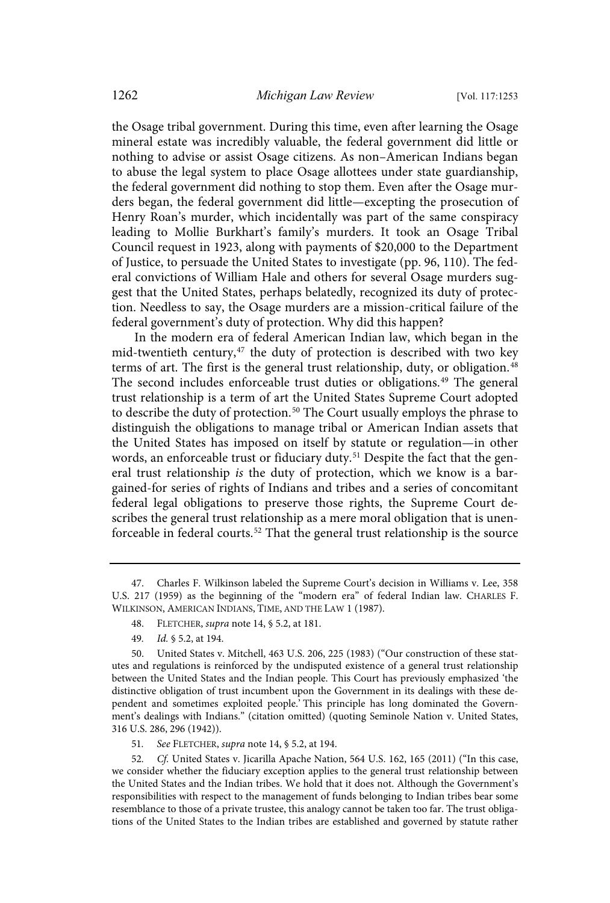the Osage tribal government. During this time, even after learning the Osage mineral estate was incredibly valuable, the federal government did little or nothing to advise or assist Osage citizens. As non–American Indians began to abuse the legal system to place Osage allottees under state guardianship, the federal government did nothing to stop them. Even after the Osage murders began, the federal government did little—excepting the prosecution of Henry Roan's murder, which incidentally was part of the same conspiracy leading to Mollie Burkhart's family's murders. It took an Osage Tribal Council request in 1923, along with payments of \$20,000 to the Department of Justice, to persuade the United States to investigate (pp. 96, 110). The federal convictions of William Hale and others for several Osage murders suggest that the United States, perhaps belatedly, recognized its duty of protection. Needless to say, the Osage murders are a mission-critical failure of the federal government's duty of protection. Why did this happen?

In the modern era of federal American Indian law, which began in the mid-twentieth century, $47$  the duty of protection is described with two key terms of art. The first is the general trust relationship, duty, or obligation. $48$ The second includes enforceable trust duties or obligations.<sup>49</sup> The general trust relationship is a term of art the United States Supreme Court adopted to describe the duty of protection.<sup>50</sup> The Court usually employs the phrase to distinguish the obligations to manage tribal or American Indian assets that the United States has imposed on itself by statute or regulation—in other words, an enforceable trust or fiduciary duty.<sup>51</sup> Despite the fact that the general trust relationship is the duty of protection, which we know is a bargained-for series of rights of Indians and tribes and a series of concomitant federal legal obligations to preserve those rights, the Supreme Court describes the general trust relationship as a mere moral obligation that is unenforceable in federal courts.<sup>52</sup> That the general trust relationship is the source

<sup>47.</sup> Charles F. Wilkinson labeled the Supreme Court's decision in Williams v. Lee, 358 U.S. 217 (1959) as the beginning of the "modern era" of federal Indian law. CHARLES F. WILKINSON, AMERICAN INDIANS, TIME, AND THE LAW 1 (1987).

<sup>48.</sup> FLETCHER, supra note 14, § 5.2, at 181.

<sup>49.</sup> *Id.* § 5.2, at 194.

<sup>50.</sup> United States v. Mitchell, 463 U.S. 206, 225 (1983) ("Our construction of these statutes and regulations is reinforced by the undisputed existence of a general trust relationship between the United States and the Indian people. This Court has previously emphasized 'the distinctive obligation of trust incumbent upon the Government in its dealings with these dependent and sometimes exploited people.' This principle has long dominated the Government's dealings with Indians." (citation omitted) (quoting Seminole Nation v. United States, 316 U.S. 286, 296 (1942)).

<sup>51.</sup> See FLETCHER, supra note 14, § 5.2, at 194.

<sup>52.</sup> Cf. United States v. Jicarilla Apache Nation, 564 U.S. 162, 165 (2011) ("In this case, we consider whether the fiduciary exception applies to the general trust relationship between the United States and the Indian tribes. We hold that it does not. Although the Government's responsibilities with respect to the management of funds belonging to Indian tribes bear some resemblance to those of a private trustee, this analogy cannot be taken too far. The trust obligations of the United States to the Indian tribes are established and governed by statute rather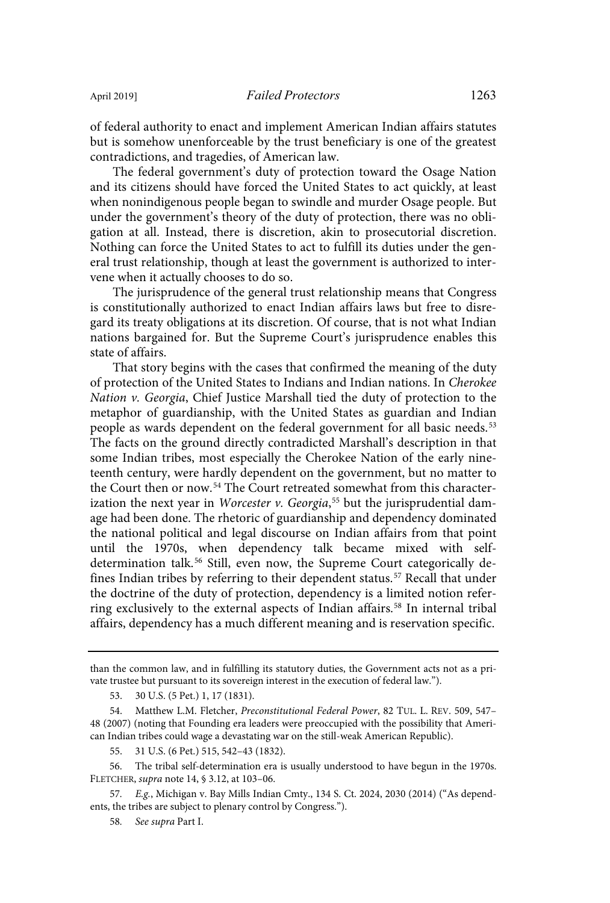of federal authority to enact and implement American Indian affairs statutes but is somehow unenforceable by the trust beneficiary is one of the greatest contradictions, and tragedies, of American law.

The federal government's duty of protection toward the Osage Nation and its citizens should have forced the United States to act quickly, at least when nonindigenous people began to swindle and murder Osage people. But under the government's theory of the duty of protection, there was no obligation at all. Instead, there is discretion, akin to prosecutorial discretion. Nothing can force the United States to act to fulfill its duties under the general trust relationship, though at least the government is authorized to intervene when it actually chooses to do so.

The jurisprudence of the general trust relationship means that Congress is constitutionally authorized to enact Indian affairs laws but free to disregard its treaty obligations at its discretion. Of course, that is not what Indian nations bargained for. But the Supreme Court's jurisprudence enables this state of affairs.

That story begins with the cases that confirmed the meaning of the duty of protection of the United States to Indians and Indian nations. In Cherokee Nation v. Georgia, Chief Justice Marshall tied the duty of protection to the metaphor of guardianship, with the United States as guardian and Indian people as wards dependent on the federal government for all basic needs.<sup>53</sup> The facts on the ground directly contradicted Marshall's description in that some Indian tribes, most especially the Cherokee Nation of the early nineteenth century, were hardly dependent on the government, but no matter to the Court then or now.<sup>54</sup> The Court retreated somewhat from this characterization the next year in Worcester v. Georgia,<sup>55</sup> but the jurisprudential damage had been done. The rhetoric of guardianship and dependency dominated the national political and legal discourse on Indian affairs from that point until the 1970s, when dependency talk became mixed with selfdetermination talk.<sup>56</sup> Still, even now, the Supreme Court categorically defines Indian tribes by referring to their dependent status.<sup>57</sup> Recall that under the doctrine of the duty of protection, dependency is a limited notion referring exclusively to the external aspects of Indian affairs.<sup>58</sup> In internal tribal affairs, dependency has a much different meaning and is reservation specific.

57. E.g., Michigan v. Bay Mills Indian Cmty., 134 S. Ct. 2024, 2030 (2014) ("As dependents, the tribes are subject to plenary control by Congress.").

than the common law, and in fulfilling its statutory duties, the Government acts not as a private trustee but pursuant to its sovereign interest in the execution of federal law.").

<sup>53. 30</sup> U.S. (5 Pet.) 1, 17 (1831).

<sup>54.</sup> Matthew L.M. Fletcher, Preconstitutional Federal Power, 82 TUL. L. REV. 509, 547– 48 (2007) (noting that Founding era leaders were preoccupied with the possibility that American Indian tribes could wage a devastating war on the still-weak American Republic).

<sup>55. 31</sup> U.S. (6 Pet.) 515, 542–43 (1832).

<sup>56.</sup> The tribal self-determination era is usually understood to have begun in the 1970s. FLETCHER, supra note 14, § 3.12, at 103–06.

<sup>58.</sup> See supra Part I.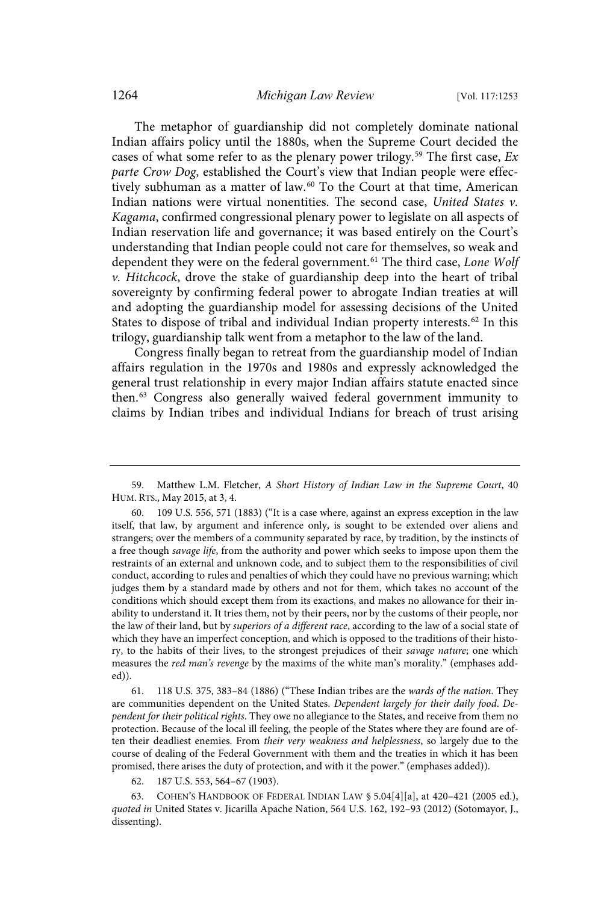The metaphor of guardianship did not completely dominate national Indian affairs policy until the 1880s, when the Supreme Court decided the cases of what some refer to as the plenary power trilogy.<sup>59</sup> The first case,  $Ex$ parte Crow Dog, established the Court's view that Indian people were effectively subhuman as a matter of law.<sup>60</sup> To the Court at that time, American Indian nations were virtual nonentities. The second case, United States  $v$ . Kagama, confirmed congressional plenary power to legislate on all aspects of Indian reservation life and governance; it was based entirely on the Court's understanding that Indian people could not care for themselves, so weak and dependent they were on the federal government.<sup>61</sup> The third case, *Lone Wolf*  $v$ . Hitchcock, drove the stake of guardianship deep into the heart of tribal sovereignty by confirming federal power to abrogate Indian treaties at will and adopting the guardianship model for assessing decisions of the United States to dispose of tribal and individual Indian property interests.<sup>62</sup> In this trilogy, guardianship talk went from a metaphor to the law of the land.

Congress finally began to retreat from the guardianship model of Indian affairs regulation in the 1970s and 1980s and expressly acknowledged the general trust relationship in every major Indian affairs statute enacted since then.<sup>63</sup> Congress also generally waived federal government immunity to claims by Indian tribes and individual Indians for breach of trust arising

60. 109 U.S. 556, 571 (1883) ("It is a case where, against an express exception in the law itself, that law, by argument and inference only, is sought to be extended over aliens and strangers; over the members of a community separated by race, by tradition, by the instincts of a free though savage life, from the authority and power which seeks to impose upon them the restraints of an external and unknown code, and to subject them to the responsibilities of civil conduct, according to rules and penalties of which they could have no previous warning; which judges them by a standard made by others and not for them, which takes no account of the conditions which should except them from its exactions, and makes no allowance for their inability to understand it. It tries them, not by their peers, nor by the customs of their people, nor the law of their land, but by superiors of a different race, according to the law of a social state of which they have an imperfect conception, and which is opposed to the traditions of their history, to the habits of their lives, to the strongest prejudices of their savage nature; one which measures the red man's revenge by the maxims of the white man's morality." (emphases added)).

61. 118 U.S. 375, 383–84 (1886) ("These Indian tribes are the wards of the nation. They are communities dependent on the United States. Dependent largely for their daily food. Dependent for their political rights. They owe no allegiance to the States, and receive from them no protection. Because of the local ill feeling, the people of the States where they are found are often their deadliest enemies. From their very weakness and helplessness, so largely due to the course of dealing of the Federal Government with them and the treaties in which it has been promised, there arises the duty of protection, and with it the power." (emphases added)).

62. 187 U.S. 553, 564–67 (1903).

63. COHEN'S HANDBOOK OF FEDERAL INDIAN LAW § 5.04[4][a], at 420–421 (2005 ed.), quoted in United States v. Jicarilla Apache Nation, 564 U.S. 162, 192–93 (2012) (Sotomayor, J., dissenting).

<sup>59.</sup> Matthew L.M. Fletcher, A Short History of Indian Law in the Supreme Court, 40 HUM. RTS., May 2015, at 3, 4.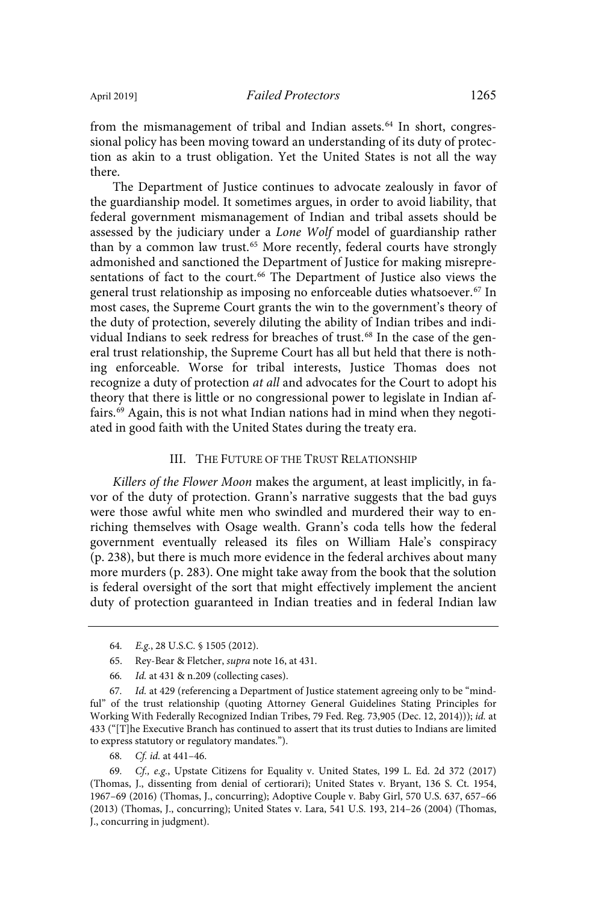from the mismanagement of tribal and Indian assets.<sup>64</sup> In short, congressional policy has been moving toward an understanding of its duty of protection as akin to a trust obligation. Yet the United States is not all the way there.

The Department of Justice continues to advocate zealously in favor of the guardianship model. It sometimes argues, in order to avoid liability, that federal government mismanagement of Indian and tribal assets should be assessed by the judiciary under a Lone Wolf model of guardianship rather than by a common law trust.<sup>65</sup> More recently, federal courts have strongly admonished and sanctioned the Department of Justice for making misrepresentations of fact to the court.<sup>66</sup> The Department of Justice also views the general trust relationship as imposing no enforceable duties whatsoever.<sup>67</sup> In most cases, the Supreme Court grants the win to the government's theory of the duty of protection, severely diluting the ability of Indian tribes and individual Indians to seek redress for breaches of trust.<sup>68</sup> In the case of the general trust relationship, the Supreme Court has all but held that there is nothing enforceable. Worse for tribal interests, Justice Thomas does not recognize a duty of protection at all and advocates for the Court to adopt his theory that there is little or no congressional power to legislate in Indian affairs.<sup>69</sup> Again, this is not what Indian nations had in mind when they negotiated in good faith with the United States during the treaty era.

#### III. THE FUTURE OF THE TRUST RELATIONSHIP

Killers of the Flower Moon makes the argument, at least implicitly, in favor of the duty of protection. Grann's narrative suggests that the bad guys were those awful white men who swindled and murdered their way to enriching themselves with Osage wealth. Grann's coda tells how the federal government eventually released its files on William Hale's conspiracy (p. 238), but there is much more evidence in the federal archives about many more murders (p. 283). One might take away from the book that the solution is federal oversight of the sort that might effectively implement the ancient duty of protection guaranteed in Indian treaties and in federal Indian law

68. Cf. id. at 441-46.

<sup>64.</sup> E.g., 28 U.S.C. § 1505 (2012).

<sup>65.</sup> Rey-Bear & Fletcher, supra note 16, at 431.

<sup>66.</sup> *Id.* at 431 & n.209 (collecting cases).

<sup>67.</sup> Id. at 429 (referencing a Department of Justice statement agreeing only to be "mindful" of the trust relationship (quoting Attorney General Guidelines Stating Principles for Working With Federally Recognized Indian Tribes, 79 Fed. Reg. 73,905 (Dec. 12, 2014))); id . at 433 ("[T]he Executive Branch has continued to assert that its trust duties to Indians are limited to express statutory or regulatory mandates.").

<sup>69.</sup> Cf., e.g., Upstate Citizens for Equality v. United States, 199 L. Ed. 2d 372 (2017) (Thomas, J., dissenting from denial of certiorari); United States v. Bryant, 136 S. Ct. 1954, 1967–69 (2016) (Thomas, J., concurring); Adoptive Couple v. Baby Girl, 570 U.S. 637, 657–66 (2013) (Thomas, J., concurring); United States v. Lara, 541 U.S. 193, 214–26 (2004) (Thomas, J., concurring in judgment).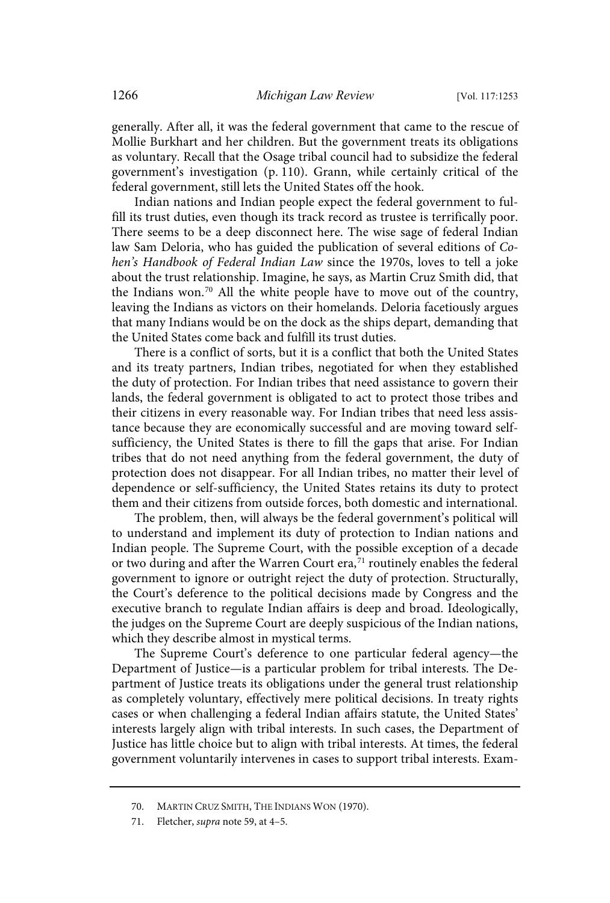generally. After all, it was the federal government that came to the rescue of Mollie Burkhart and her children. But the government treats its obligations as voluntary. Recall that the Osage tribal council had to subsidize the federal government's investigation (p. 110). Grann, while certainly critical of the federal government, still lets the United States off the hook.

Indian nations and Indian people expect the federal government to fulfill its trust duties, even though its track record as trustee is terrifically poor. There seems to be a deep disconnect here. The wise sage of federal Indian law Sam Deloria, who has guided the publication of several editions of Cohen's Handbook of Federal Indian Law since the 1970s, loves to tell a joke about the trust relationship. Imagine, he says, as Martin Cruz Smith did, that the Indians won.<sup>70</sup> All the white people have to move out of the country, leaving the Indians as victors on their homelands. Deloria facetiously argues that many Indians would be on the dock as the ships depart, demanding that the United States come back and fulfill its trust duties.

There is a conflict of sorts, but it is a conflict that both the United States and its treaty partners, Indian tribes, negotiated for when they established the duty of protection. For Indian tribes that need assistance to govern their lands, the federal government is obligated to act to protect those tribes and their citizens in every reasonable way. For Indian tribes that need less assistance because they are economically successful and are moving toward selfsufficiency, the United States is there to fill the gaps that arise. For Indian tribes that do not need anything from the federal government, the duty of protection does not disappear. For all Indian tribes, no matter their level of dependence or self-sufficiency, the United States retains its duty to protect them and their citizens from outside forces, both domestic and international.

The problem, then, will always be the federal government's political will to understand and implement its duty of protection to Indian nations and Indian people. The Supreme Court, with the possible exception of a decade or two during and after the Warren Court era, $71$  routinely enables the federal government to ignore or outright reject the duty of protection. Structurally, the Court's deference to the political decisions made by Congress and the executive branch to regulate Indian affairs is deep and broad. Ideologically, the judges on the Supreme Court are deeply suspicious of the Indian nations, which they describe almost in mystical terms.

The Supreme Court's deference to one particular federal agency—the Department of Justice—is a particular problem for tribal interests. The Department of Justice treats its obligations under the general trust relationship as completely voluntary, effectively mere political decisions. In treaty rights cases or when challenging a federal Indian affairs statute, the United States' interests largely align with tribal interests. In such cases, the Department of Justice has little choice but to align with tribal interests. At times, the federal government voluntarily intervenes in cases to support tribal interests. Exam-

<sup>70.</sup> MARTIN CRUZ SMITH, THE INDIANS WON (1970).

<sup>71.</sup> Fletcher, supra note 59, at 4–5.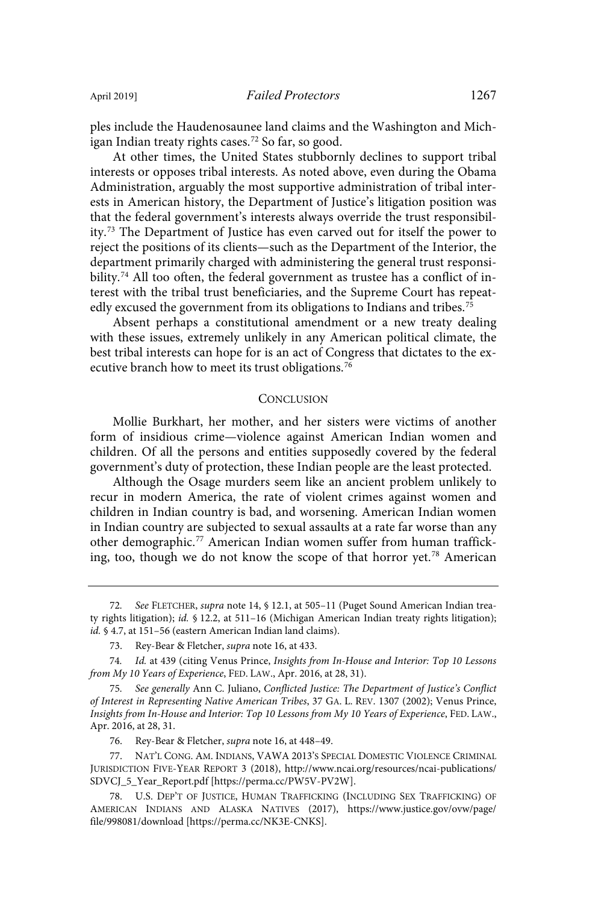ples include the Haudenosaunee land claims and the Washington and Michigan Indian treaty rights cases.<sup>72</sup> So far, so good.

At other times, the United States stubbornly declines to support tribal interests or opposes tribal interests. As noted above, even during the Obama Administration, arguably the most supportive administration of tribal interests in American history, the Department of Justice's litigation position was that the federal government's interests always override the trust responsibility.<sup>73</sup> The Department of Justice has even carved out for itself the power to reject the positions of its clients—such as the Department of the Interior, the department primarily charged with administering the general trust responsibility.<sup>74</sup> All too often, the federal government as trustee has a conflict of interest with the tribal trust beneficiaries, and the Supreme Court has repeatedly excused the government from its obligations to Indians and tribes.<sup>75</sup>

Absent perhaps a constitutional amendment or a new treaty dealing with these issues, extremely unlikely in any American political climate, the best tribal interests can hope for is an act of Congress that dictates to the executive branch how to meet its trust obligations.<sup>76</sup>

#### **CONCLUSION**

Mollie Burkhart, her mother, and her sisters were victims of another form of insidious crime—violence against American Indian women and children. Of all the persons and entities supposedly covered by the federal government's duty of protection, these Indian people are the least protected.

Although the Osage murders seem like an ancient problem unlikely to recur in modern America, the rate of violent crimes against women and children in Indian country is bad, and worsening. American Indian women in Indian country are subjected to sexual assaults at a rate far worse than any other demographic.<sup>77</sup> American Indian women suffer from human trafficking, too, though we do not know the scope of that horror yet.<sup>78</sup> American

<sup>72.</sup> See FLETCHER, supra note 14, § 12.1, at 505-11 (Puget Sound American Indian treaty rights litigation); id. § 12.2, at 511-16 (Michigan American Indian treaty rights litigation); id. § 4.7, at 151-56 (eastern American Indian land claims).

<sup>73.</sup> Rey-Bear & Fletcher, supra note 16, at 433.

<sup>74.</sup> Id. at 439 (citing Venus Prince, Insights from In-House and Interior: Top 10 Lessons from My 10 Years of Experience, FED. LAW., Apr. 2016, at 28, 31).

<sup>75</sup> . See generally Ann C. Juliano, Conflicted Justice: The Department of Justice's Conflict of Interest in Representing Native American Tribes, 37 GA. L. REV. 1307 (2002); Venus Prince, Insights from In-House and Interior: Top 10 Lessons from My 10 Years of Experience, FED. LAW., Apr. 2016, at 28, 31.

<sup>76.</sup> Rey-Bear & Fletcher, supra note 16, at 448–49.

<sup>77.</sup> NAT'L CONG. AM. INDIANS, VAWA 2013'S SPECIAL DOMESTIC VIOLENCE CRIMINAL JURISDICTION FIVE-YEAR REPORT 3 (2018), http://www.ncai.org/resources/ncai-publications/ SDVCJ\_5\_Year\_Report.pdf [https://perma.cc/PW5V-PV2W].

<sup>78.</sup> U.S. DEP'T OF JUSTICE, HUMAN TRAFFICKING (INCLUDING SEX TRAFFICKING) OF AMERICAN INDIANS AND ALASKA NATIVES (2017), https://www.justice.gov/ovw/page/ file/998081/download [https://perma.cc/NK3E-CNKS].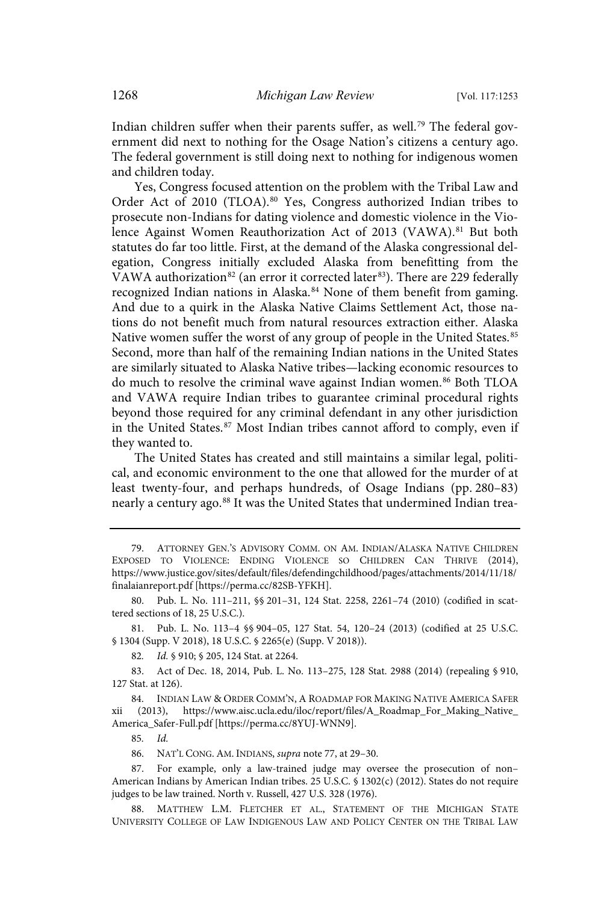Indian children suffer when their parents suffer, as well.<sup>79</sup> The federal government did next to nothing for the Osage Nation's citizens a century ago. The federal government is still doing next to nothing for indigenous women and children today.

Yes, Congress focused attention on the problem with the Tribal Law and Order Act of 2010 (TLOA).<sup>80</sup> Yes, Congress authorized Indian tribes to prosecute non-Indians for dating violence and domestic violence in the Violence Against Women Reauthorization Act of 2013 (VAWA).<sup>81</sup> But both statutes do far too little. First, at the demand of the Alaska congressional delegation, Congress initially excluded Alaska from benefitting from the VAWA authorization<sup>82</sup> (an error it corrected later<sup>83</sup>). There are 229 federally recognized Indian nations in Alaska.<sup>84</sup> None of them benefit from gaming. And due to a quirk in the Alaska Native Claims Settlement Act, those nations do not benefit much from natural resources extraction either. Alaska Native women suffer the worst of any group of people in the United States.<sup>85</sup> Second, more than half of the remaining Indian nations in the United States are similarly situated to Alaska Native tribes—lacking economic resources to do much to resolve the criminal wave against Indian women.<sup>86</sup> Both TLOA and VAWA require Indian tribes to guarantee criminal procedural rights beyond those required for any criminal defendant in any other jurisdiction in the United States.<sup>87</sup> Most Indian tribes cannot afford to comply, even if they wanted to.

The United States has created and still maintains a similar legal, political, and economic environment to the one that allowed for the murder of at least twenty-four, and perhaps hundreds, of Osage Indians (pp. 280–83) nearly a century ago.<sup>88</sup> It was the United States that undermined Indian trea-

82. Id. § 910; § 205, 124 Stat. at 2264.

83. Act of Dec. 18, 2014, Pub. L. No. 113–275, 128 Stat. 2988 (2014) (repealing § 910, 127 Stat. at 126).

84. INDIAN LAW & ORDER COMM'N, A ROADMAP FOR MAKING NATIVE AMERICA SAFER xii (2013), https://www.aisc.ucla.edu/iloc/report/files/A\_Roadmap\_For\_Making\_Native\_ America\_Safer-Full.pdf [https://perma.cc/8YUJ-WNN9].

85. Id.

86. NAT'L CONG. AM. INDIANS, supra note 77, at 29–30.

87. For example, only a law-trained judge may oversee the prosecution of non– American Indians by American Indian tribes. 25 U.S.C. § 1302(c) (2012). States do not require judges to be law trained. North v. Russell, 427 U.S. 328 (1976).

88. MATTHEW L.M. FLETCHER ET AL., STATEMENT OF THE MICHIGAN STATE UNIVERSITY COLLEGE OF LAW INDIGENOUS LAW AND POLICY CENTER ON THE TRIBAL LAW

<sup>79.</sup> ATTORNEY GEN.'S ADVISORY COMM. ON AM. INDIAN/ALASKA NATIVE CHILDREN EXPOSED TO VIOLENCE: ENDING VIOLENCE SO CHILDREN CAN THRIVE (2014), https://www.justice.gov/sites/default/files/defendingchildhood/pages/attachments/2014/11/18/ finalaianreport.pdf [https://perma.cc/82SB-YFKH].

<sup>80.</sup> Pub. L. No. 111–211, §§ 201–31, 124 Stat. 2258, 2261–74 (2010) (codified in scattered sections of 18, 25 U.S.C.).

<sup>81.</sup> Pub. L. No. 113–4 §§ 904–05, 127 Stat. 54, 120–24 (2013) (codified at 25 U.S.C. § 1304 (Supp. V 2018), 18 U.S.C. § 2265(e) (Supp. V 2018)).